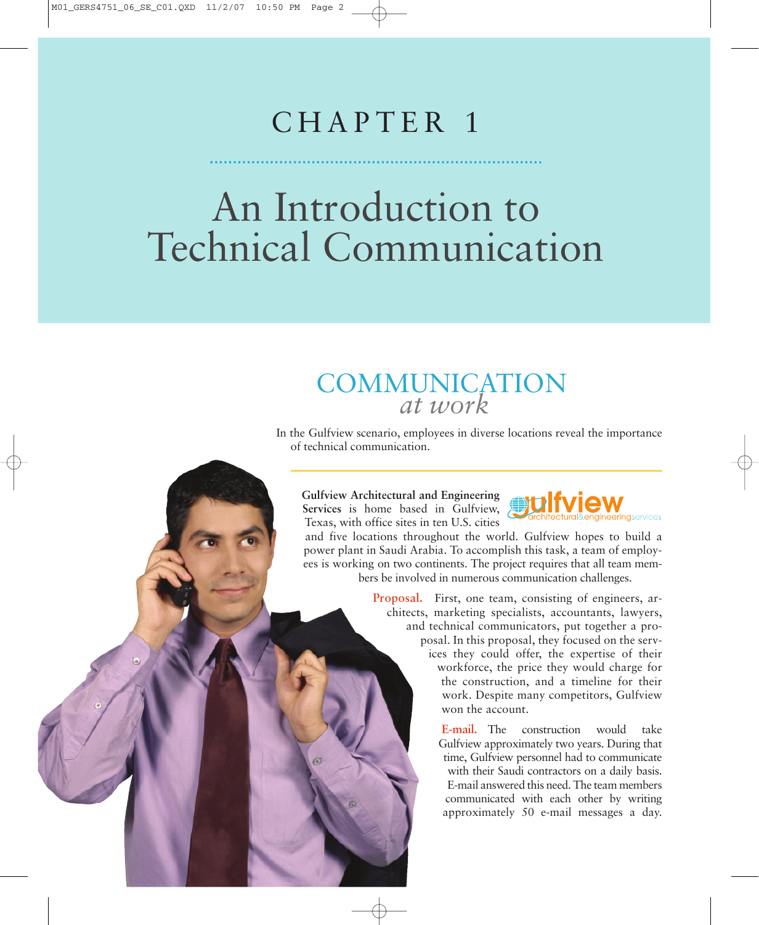# CHAPTER 1

# An Introduction to Technical Communication

# **COMMUNICATION** *at work*

In the Gulfview scenario, employees in diverse locations reveal the importance of technical communication.

#### **Gulfview Architectural and Engineering Services** is home based in Gulfview, Texas, with office sites in ten U.S. cities



and five locations throughout the world. Gulfview hopes to build a power plant in Saudi Arabia. To accomplish this task, a team of employees is working on two continents. The project requires that all team members be involved in numerous communication challenges.

> **Proposal.** First, one team, consisting of engineers, architects, marketing specialists, accountants, lawyers, and technical communicators, put together a proposal. In this proposal, they focused on the services they could offer, the expertise of their workforce, the price they would charge for the construction, and a timeline for their work. Despite many competitors, Gulfview won the account.

> > **E-mail.** The construction would take Gulfview approximately two years. During that time, Gulfview personnel had to communicate with their Saudi contractors on a daily basis. E-mail answered this need. The team members communicated with each other by writing approximately 50 e-mail messages a day.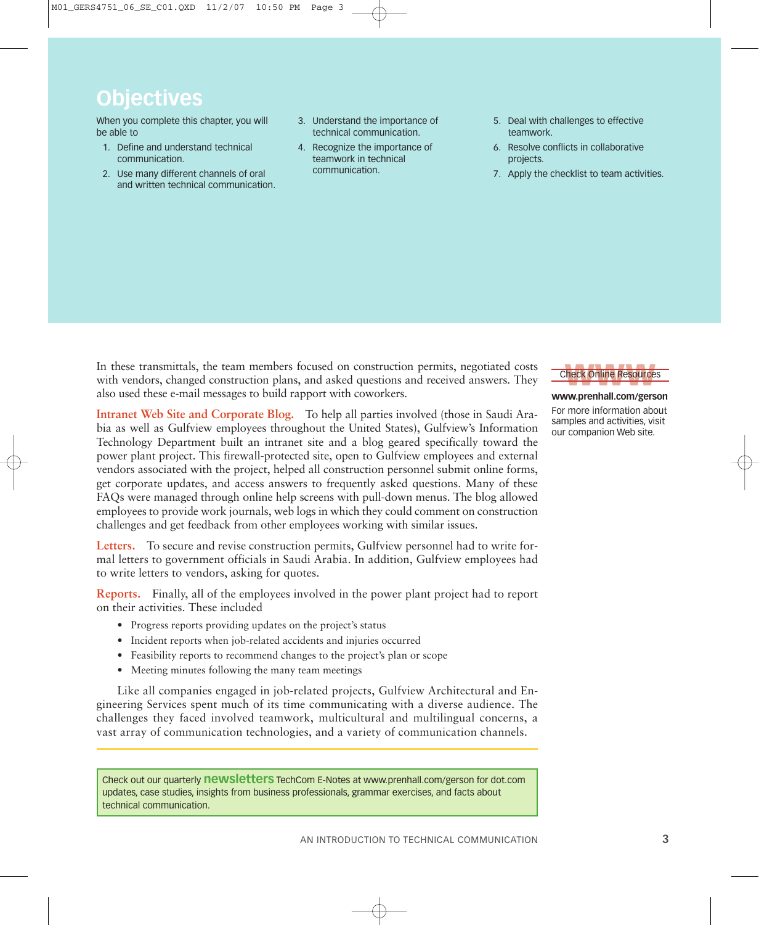# **Objectives**

When you complete this chapter, you will be able to

- 1. Define and understand technical communication.
- 2. Use many different channels of oral and written technical communication.
- 3. Understand the importance of technical communication.
- 4. Recognize the importance of teamwork in technical communication.
- 5. Deal with challenges to effective teamwork.
- 6. Resolve conflicts in collaborative projects.
- 7. Apply the checklist to team activities.

In these transmittals, the team members focused on construction permits, negotiated costs with vendors, changed construction plans, and asked questions and received answers. They also used these e-mail messages to build rapport with coworkers.

**Intranet Web Site and Corporate Blog.** To help all parties involved (those in Saudi Arabia as well as Gulfview employees throughout the United States), Gulfview's Information Technology Department built an intranet site and a blog geared specifically toward the power plant project. This firewall-protected site, open to Gulfview employees and external vendors associated with the project, helped all construction personnel submit online forms, get corporate updates, and access answers to frequently asked questions. Many of these FAQs were managed through online help screens with pull-down menus. The blog allowed employees to provide work journals, web logs in which they could comment on construction challenges and get feedback from other employees working with similar issues.

**Letters.** To secure and revise construction permits, Gulfview personnel had to write formal letters to government officials in Saudi Arabia. In addition, Gulfview employees had to write letters to vendors, asking for quotes.

**Reports.** Finally, all of the employees involved in the power plant project had to report on their activities. These included

- Progress reports providing updates on the project's status
- Incident reports when job-related accidents and injuries occurred
- Feasibility reports to recommend changes to the project's plan or scope
- Meeting minutes following the many team meetings

Like all companies engaged in job-related projects, Gulfview Architectural and Engineering Services spent much of its time communicating with a diverse audience. The challenges they faced involved teamwork, multicultural and multilingual concerns, a vast array of communication technologies, and a variety of communication channels.

Check out our quarterly **newsletters** TechCom E-Notes at www.prenhall.com/gerson for dot.com updates, case studies, insights from business professionals, grammar exercises, and facts about technical communication.

AN INTRODUCTION TO TECHNICAL COMMUNICATION **3**



#### **www.prenhall.com/gerson**

For more information about samples and activities, visit our companion Web site.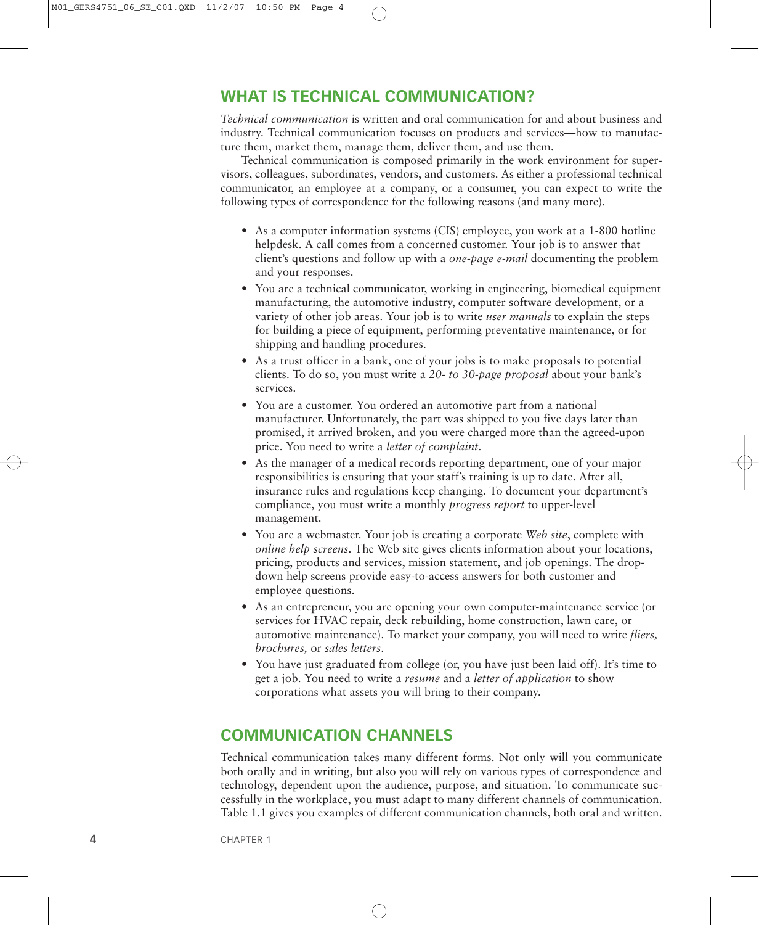### **WHAT IS TECHNICAL COMMUNICATION?**

*Technical communication* is written and oral communication for and about business and industry. Technical communication focuses on products and services—how to manufacture them, market them, manage them, deliver them, and use them.

Technical communication is composed primarily in the work environment for supervisors, colleagues, subordinates, vendors, and customers. As either a professional technical communicator, an employee at a company, or a consumer, you can expect to write the following types of correspondence for the following reasons (and many more).

- As a computer information systems (CIS) employee, you work at a 1-800 hotline helpdesk. A call comes from a concerned customer. Your job is to answer that client's questions and follow up with a *one-page e-mail* documenting the problem and your responses.
- You are a technical communicator, working in engineering, biomedical equipment manufacturing, the automotive industry, computer software development, or a variety of other job areas. Your job is to write *user manuals* to explain the steps for building a piece of equipment, performing preventative maintenance, or for shipping and handling procedures.
- As a trust officer in a bank, one of your jobs is to make proposals to potential clients. To do so, you must write a *20- to 30-page proposal* about your bank's services.
- You are a customer. You ordered an automotive part from a national manufacturer. Unfortunately, the part was shipped to you five days later than promised, it arrived broken, and you were charged more than the agreed-upon price. You need to write a *letter of complaint*.
- As the manager of a medical records reporting department, one of your major responsibilities is ensuring that your staff's training is up to date. After all, insurance rules and regulations keep changing. To document your department's compliance, you must write a monthly *progress report* to upper-level management.
- You are a webmaster. Your job is creating a corporate *Web site*, complete with *online help screens*. The Web site gives clients information about your locations, pricing, products and services, mission statement, and job openings. The dropdown help screens provide easy-to-access answers for both customer and employee questions.
- As an entrepreneur, you are opening your own computer-maintenance service (or services for HVAC repair, deck rebuilding, home construction, lawn care, or automotive maintenance). To market your company, you will need to write *fliers, brochures,* or *sales letters*.
- You have just graduated from college (or, you have just been laid off). It's time to get a job. You need to write a *resume* and a *letter of application* to show corporations what assets you will bring to their company.

### **COMMUNICATION CHANNELS**

Technical communication takes many different forms. Not only will you communicate both orally and in writing, but also you will rely on various types of correspondence and technology, dependent upon the audience, purpose, and situation. To communicate successfully in the workplace, you must adapt to many different channels of communication. Table 1.1 gives you examples of different communication channels, both oral and written.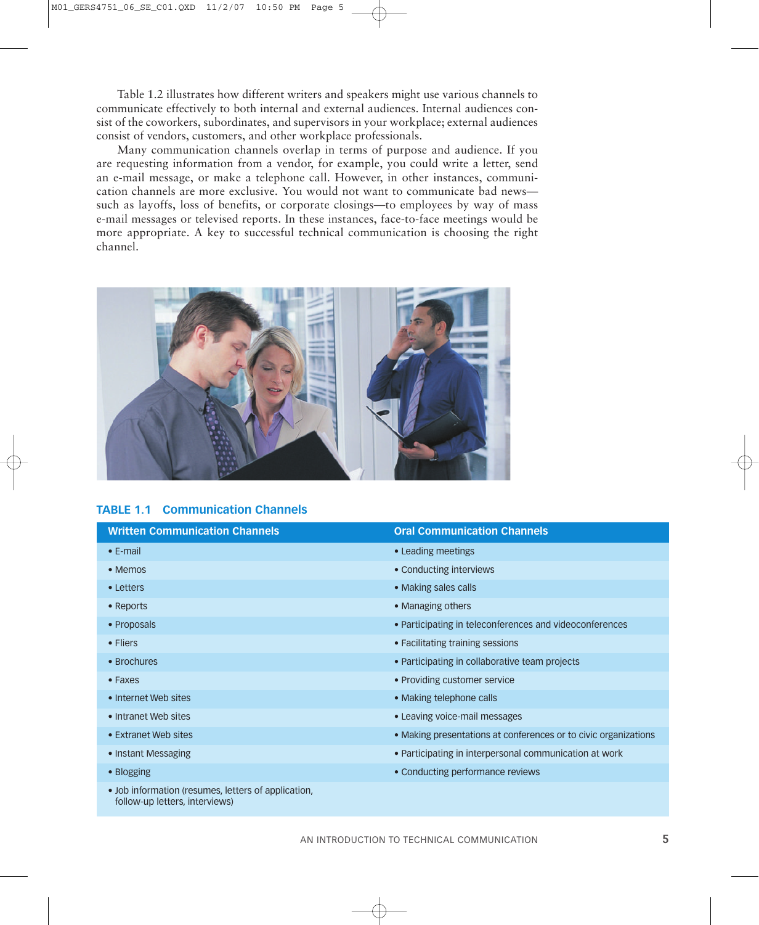Table 1.2 illustrates how different writers and speakers might use various channels to communicate effectively to both internal and external audiences. Internal audiences consist of the coworkers, subordinates, and supervisors in your workplace; external audiences consist of vendors, customers, and other workplace professionals.

Many communication channels overlap in terms of purpose and audience. If you are requesting information from a vendor, for example, you could write a letter, send an e-mail message, or make a telephone call. However, in other instances, communication channels are more exclusive. You would not want to communicate bad news such as layoffs, loss of benefits, or corporate closings—to employees by way of mass e-mail messages or televised reports. In these instances, face-to-face meetings would be more appropriate. A key to successful technical communication is choosing the right channel.



#### **TABLE 1.1 Communication Channels**

| <b>Written Communication Channels</b>               | <b>Oral Communication Channels</b>                              |
|-----------------------------------------------------|-----------------------------------------------------------------|
| $\bullet$ E-mail                                    | • Leading meetings                                              |
| • Memos                                             | • Conducting interviews                                         |
| • Letters                                           | • Making sales calls                                            |
| • Reports                                           | • Managing others                                               |
| • Proposals                                         | • Participating in teleconferences and videoconferences         |
| • Fliers                                            | • Facilitating training sessions                                |
| • Brochures                                         | • Participating in collaborative team projects                  |
| $\bullet$ Faxes                                     | • Providing customer service                                    |
| • Internet Web sites                                | • Making telephone calls                                        |
| • Intranet Web sites                                | • Leaving voice-mail messages                                   |
| • Extranet Web sites                                | • Making presentations at conferences or to civic organizations |
| • Instant Messaging                                 | • Participating in interpersonal communication at work          |
| • Blogging                                          | • Conducting performance reviews                                |
| • Job information (resumes, letters of application, |                                                                 |

follow-up letters, interviews)

AN INTRODUCTION TO TECHNICAL COMMUNICATION **5**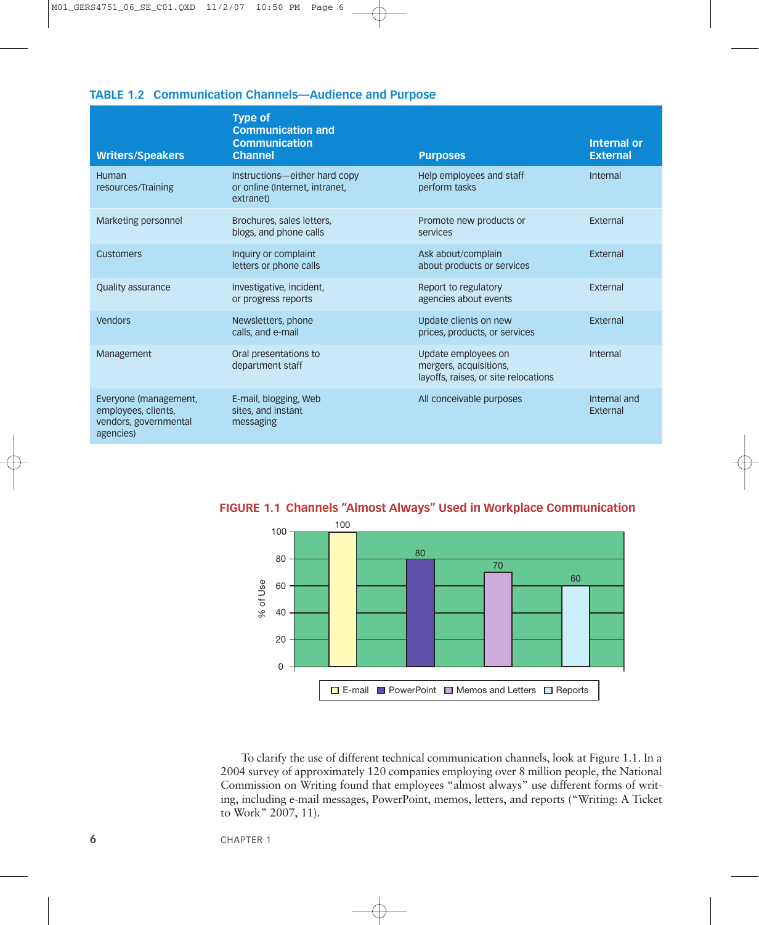|  | <b>TABLE 1.2 Communication Channels-Audience and Purpose</b> |  |  |  |
|--|--------------------------------------------------------------|--|--|--|
|--|--------------------------------------------------------------|--|--|--|

| <b>Writers/Speakers</b>                                                            | <b>Type of</b><br><b>Communication and</b><br><b>Communication</b><br><b>Channel</b> | <b>Purposes</b>                                                                       | <b>Internal or</b><br><b>External</b> |
|------------------------------------------------------------------------------------|--------------------------------------------------------------------------------------|---------------------------------------------------------------------------------------|---------------------------------------|
| Human<br>resources/Training                                                        | Instructions-either hard copy<br>or online (Internet, intranet,<br>extranet)         | Help employees and staff<br>perform tasks                                             | Internal                              |
| Marketing personnel                                                                | Brochures, sales letters,<br>blogs, and phone calls                                  | Promote new products or<br>services                                                   | External                              |
| <b>Customers</b>                                                                   | Inquiry or complaint<br>letters or phone calls                                       | Ask about/complain<br>about products or services                                      | External                              |
| <b>Quality assurance</b>                                                           | Investigative, incident,<br>or progress reports                                      | Report to regulatory<br>agencies about events                                         | External                              |
| <b>Vendors</b>                                                                     | Newsletters, phone<br>calls, and e-mail                                              | Update clients on new<br>prices, products, or services                                | External                              |
| Management                                                                         | Oral presentations to<br>department staff                                            | Update employees on<br>mergers, acquisitions,<br>layoffs, raises, or site relocations | Internal                              |
| Everyone (management,<br>employees, clients,<br>vendors, governmental<br>agencies) | E-mail, blogging, Web<br>sites, and instant<br>messaging                             | All conceivable purposes                                                              | Internal and<br>External              |





To clarify the use of different technical communication channels, look at Figure 1.1. In a 2004 survey of approximately 120 companies employing over 8 million people, the National Commission on Writing found that employees "almost always" use different forms of writing, including e-mail messages, PowerPoint, memos, letters, and reports ("Writing: A Ticket to Work" 2007, 11).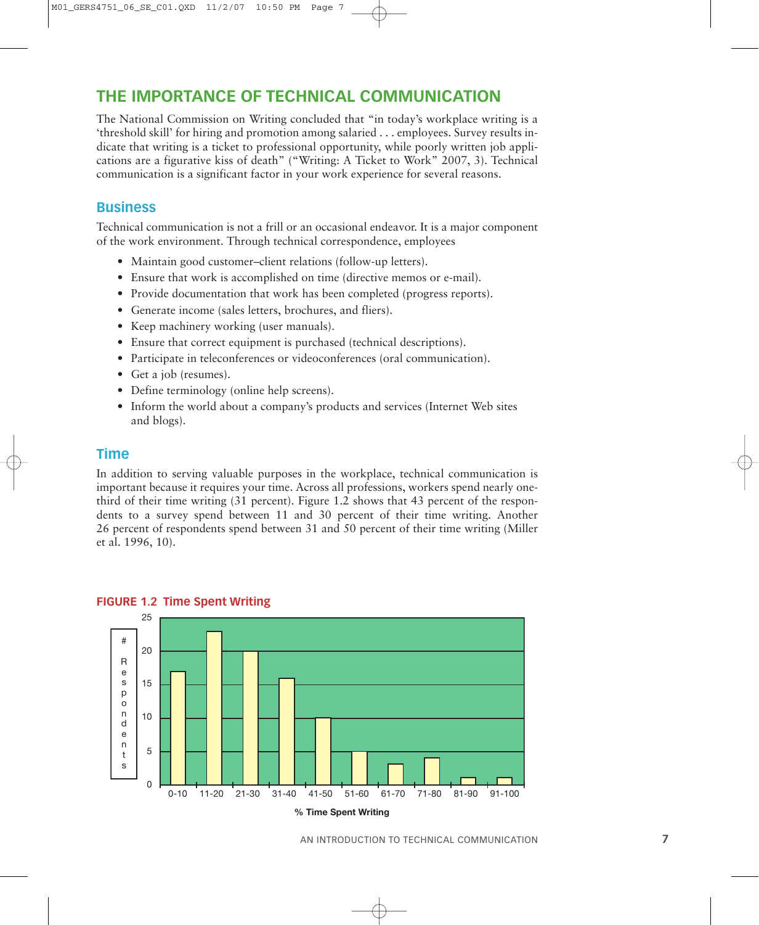# **THE IMPORTANCE OF TECHNICAL COMMUNICATION**

The National Commission on Writing concluded that "in today's workplace writing is a 'threshold skill' for hiring and promotion among salaried . . . employees. Survey results indicate that writing is a ticket to professional opportunity, while poorly written job applications are a figurative kiss of death" ("Writing: A Ticket to Work" 2007, 3). Technical communication is a significant factor in your work experience for several reasons.

### **Business**

Technical communication is not a frill or an occasional endeavor. It is a major component of the work environment. Through technical correspondence, employees

- Maintain good customer-client relations (follow-up letters).
- Ensure that work is accomplished on time (directive memos or e-mail).
- Provide documentation that work has been completed (progress reports).
- Generate income (sales letters, brochures, and fliers).
- Keep machinery working (user manuals).
- Ensure that correct equipment is purchased (technical descriptions).
- Participate in teleconferences or videoconferences (oral communication).
- Get a job (resumes).
- Define terminology (online help screens).
- Inform the world about a company's products and services (Internet Web sites and blogs).

#### **Time**

In addition to serving valuable purposes in the workplace, technical communication is important because it requires your time. Across all professions, workers spend nearly onethird of their time writing (31 percent). Figure 1.2 shows that 43 percent of the respondents to a survey spend between 11 and 30 percent of their time writing. Another 26 percent of respondents spend between 31 and 50 percent of their time writing (Miller et al. 1996, 10).



#### **FIGURE 1.2 Time Spent Writing**

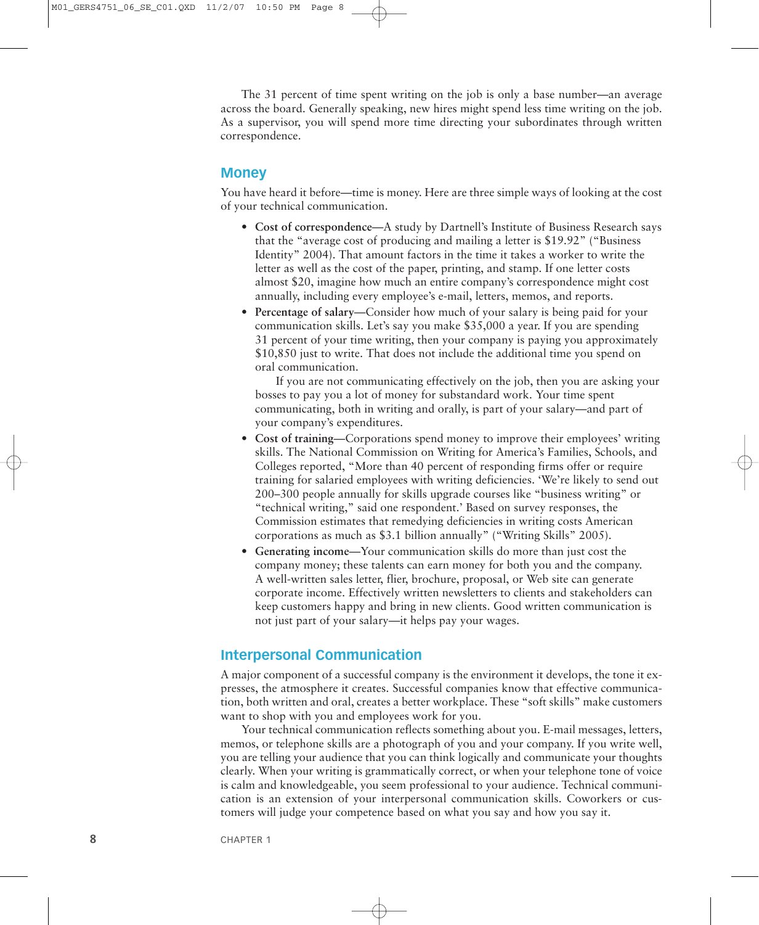The 31 percent of time spent writing on the job is only a base number—an average across the board. Generally speaking, new hires might spend less time writing on the job. As a supervisor, you will spend more time directing your subordinates through written correspondence.

#### **Money**

You have heard it before—time is money. Here are three simple ways of looking at the cost of your technical communication.

- **Cost of correspondence**—A study by Dartnell's Institute of Business Research says that the "average cost of producing and mailing a letter is \$19.92" ("Business Identity" 2004). That amount factors in the time it takes a worker to write the letter as well as the cost of the paper, printing, and stamp. If one letter costs almost \$20, imagine how much an entire company's correspondence might cost annually, including every employee's e-mail, letters, memos, and reports.
- **Percentage of salary**—Consider how much of your salary is being paid for your communication skills. Let's say you make \$35,000 a year. If you are spending 31 percent of your time writing, then your company is paying you approximately \$10,850 just to write. That does not include the additional time you spend on oral communication.

If you are not communicating effectively on the job, then you are asking your bosses to pay you a lot of money for substandard work. Your time spent communicating, both in writing and orally, is part of your salary—and part of your company's expenditures.

- **Cost of training**—Corporations spend money to improve their employees' writing skills. The National Commission on Writing for America's Families, Schools, and Colleges reported, "More than 40 percent of responding firms offer or require training for salaried employees with writing deficiencies. 'We're likely to send out 200–300 people annually for skills upgrade courses like "business writing" or "technical writing," said one respondent.' Based on survey responses, the Commission estimates that remedying deficiencies in writing costs American corporations as much as \$3.1 billion annually" ("Writing Skills" 2005).
- **Generating income**—Your communication skills do more than just cost the company money; these talents can earn money for both you and the company. A well-written sales letter, flier, brochure, proposal, or Web site can generate corporate income. Effectively written newsletters to clients and stakeholders can keep customers happy and bring in new clients. Good written communication is not just part of your salary—it helps pay your wages.

#### **Interpersonal Communication**

A major component of a successful company is the environment it develops, the tone it expresses, the atmosphere it creates. Successful companies know that effective communication, both written and oral, creates a better workplace. These "soft skills" make customers want to shop with you and employees work for you.

Your technical communication reflects something about you. E-mail messages, letters, memos, or telephone skills are a photograph of you and your company. If you write well, you are telling your audience that you can think logically and communicate your thoughts clearly. When your writing is grammatically correct, or when your telephone tone of voice is calm and knowledgeable, you seem professional to your audience. Technical communication is an extension of your interpersonal communication skills. Coworkers or customers will judge your competence based on what you say and how you say it.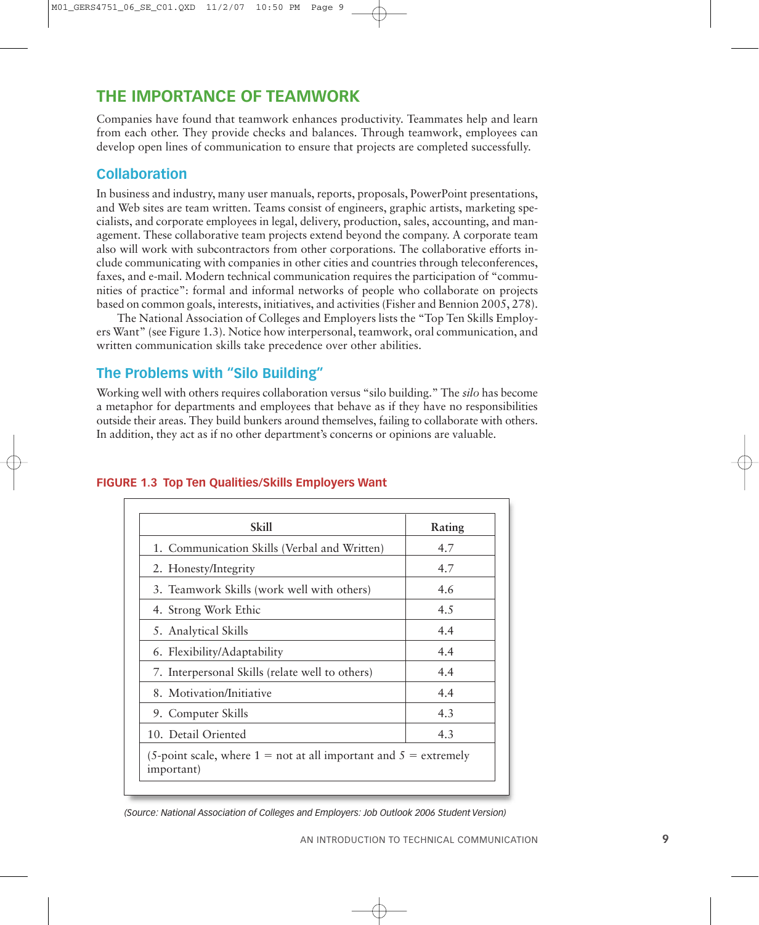# **THE IMPORTANCE OF TEAMWORK**

Companies have found that teamwork enhances productivity. Teammates help and learn from each other. They provide checks and balances. Through teamwork, employees can develop open lines of communication to ensure that projects are completed successfully.

#### **Collaboration**

In business and industry, many user manuals, reports, proposals, PowerPoint presentations, and Web sites are team written. Teams consist of engineers, graphic artists, marketing specialists, and corporate employees in legal, delivery, production, sales, accounting, and management. These collaborative team projects extend beyond the company. A corporate team also will work with subcontractors from other corporations. The collaborative efforts include communicating with companies in other cities and countries through teleconferences, faxes, and e-mail. Modern technical communication requires the participation of "communities of practice": formal and informal networks of people who collaborate on projects based on common goals, interests, initiatives, and activities (Fisher and Bennion 2005, 278).

The National Association of Colleges and Employers lists the "Top Ten Skills Employers Want" (see Figure 1.3). Notice how interpersonal, teamwork, oral communication, and written communication skills take precedence over other abilities.

#### **The Problems with "Silo Building"**

Working well with others requires collaboration versus "silo building." The *silo* has become a metaphor for departments and employees that behave as if they have no responsibilities outside their areas. They build bunkers around themselves, failing to collaborate with others. In addition, they act as if no other department's concerns or opinions are valuable.

#### **FIGURE 1.3 Top Ten Qualities/Skills Employers Want**

| Skill                                                                                            | Rating |
|--------------------------------------------------------------------------------------------------|--------|
| 1. Communication Skills (Verbal and Written)                                                     | 4.7    |
| 2. Honesty/Integrity                                                                             | 4.7    |
| 3. Teamwork Skills (work well with others)                                                       | 4.6    |
| 4. Strong Work Ethic                                                                             | 4.5    |
| 5. Analytical Skills                                                                             | 4.4    |
| 6. Flexibility/Adaptability                                                                      | 4.4    |
| 7. Interpersonal Skills (relate well to others)                                                  | 4.4    |
| 8. Motivation/Initiative                                                                         | 4.4    |
| 9. Computer Skills                                                                               | 4.3    |
| 10. Detail Oriented                                                                              | 4.3    |
| (5-point scale, where $1 = \text{not}$ at all important and $5 = \text{extremely}$<br>important) |        |

*(Source: National Association of Colleges and Employers: Job Outlook 2006 Student Version)*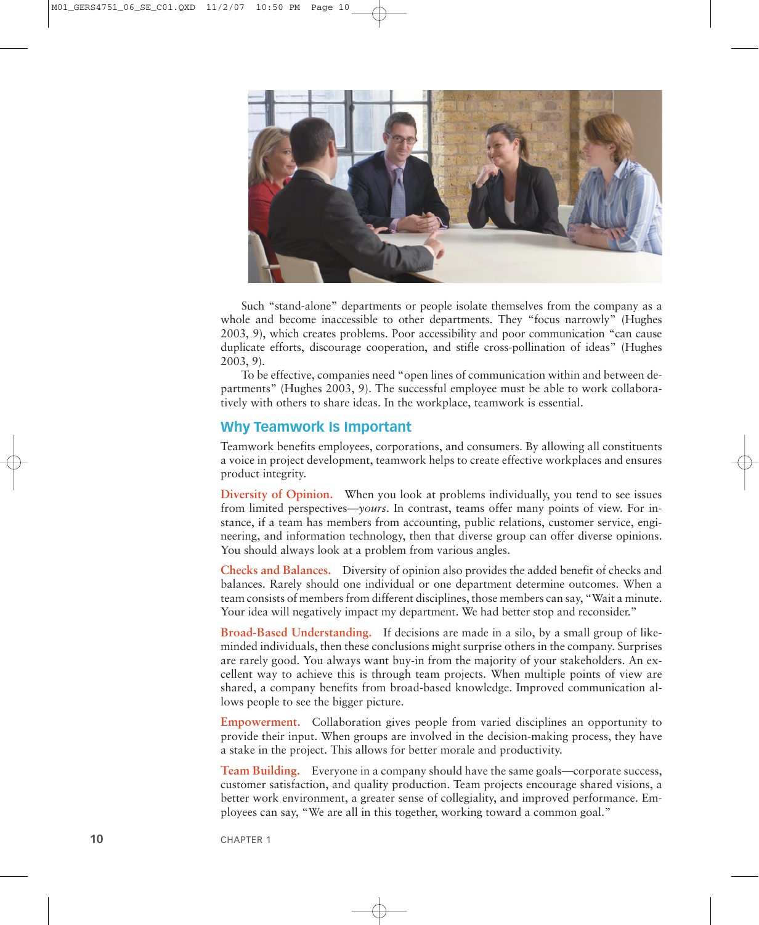

Such "stand-alone" departments or people isolate themselves from the company as a whole and become inaccessible to other departments. They "focus narrowly" (Hughes 2003, 9), which creates problems. Poor accessibility and poor communication "can cause duplicate efforts, discourage cooperation, and stifle cross-pollination of ideas" (Hughes 2003, 9).

To be effective, companies need "open lines of communication within and between departments" (Hughes 2003, 9). The successful employee must be able to work collaboratively with others to share ideas. In the workplace, teamwork is essential.

#### **Why Teamwork Is Important**

Teamwork benefits employees, corporations, and consumers. By allowing all constituents a voice in project development, teamwork helps to create effective workplaces and ensures product integrity.

**Diversity of Opinion.** When you look at problems individually, you tend to see issues from limited perspectives—*yours*. In contrast, teams offer many points of view. For instance, if a team has members from accounting, public relations, customer service, engineering, and information technology, then that diverse group can offer diverse opinions. You should always look at a problem from various angles.

**Checks and Balances.** Diversity of opinion also provides the added benefit of checks and balances. Rarely should one individual or one department determine outcomes. When a team consists of members from different disciplines, those members can say, "Wait a minute. Your idea will negatively impact my department. We had better stop and reconsider."

**Broad-Based Understanding.** If decisions are made in a silo, by a small group of likeminded individuals, then these conclusions might surprise others in the company. Surprises are rarely good. You always want buy-in from the majority of your stakeholders. An excellent way to achieve this is through team projects. When multiple points of view are shared, a company benefits from broad-based knowledge. Improved communication allows people to see the bigger picture.

**Empowerment.** Collaboration gives people from varied disciplines an opportunity to provide their input. When groups are involved in the decision-making process, they have a stake in the project. This allows for better morale and productivity.

**Team Building.** Everyone in a company should have the same goals—corporate success, customer satisfaction, and quality production. Team projects encourage shared visions, a better work environment, a greater sense of collegiality, and improved performance. Employees can say, "We are all in this together, working toward a common goal."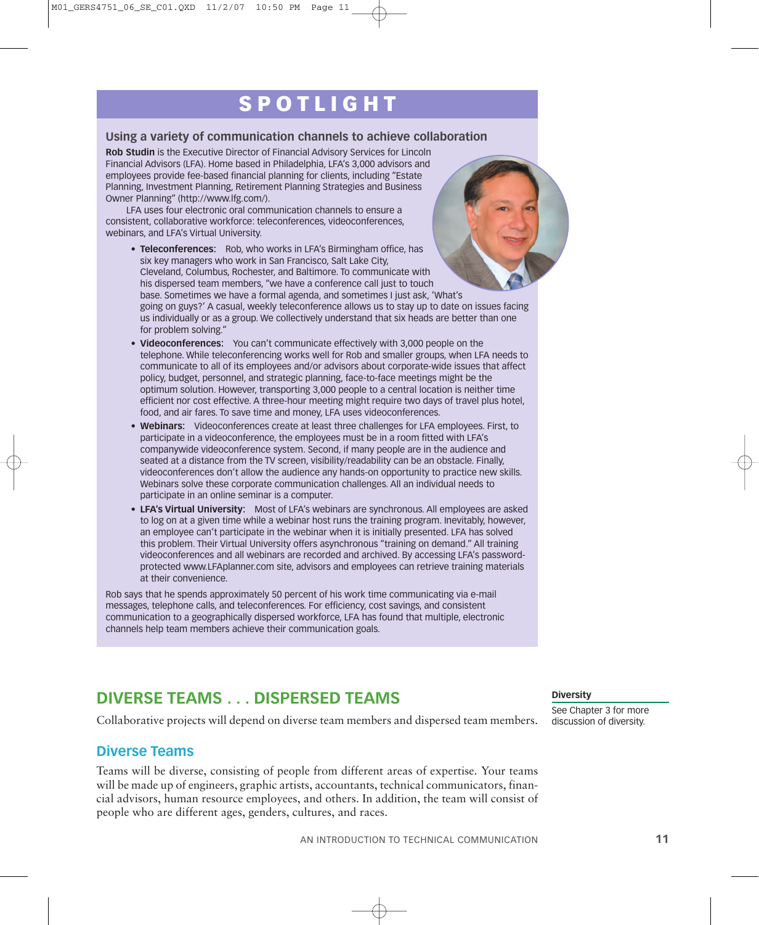# **SPOTLIGHT**

#### **Using a variety of communication channels to achieve collaboration**

**Rob Studin** is the Executive Director of Financial Advisory Services for Lincoln Financial Advisors (LFA). Home based in Philadelphia, LFA's 3,000 advisors and employees provide fee-based financial planning for clients, including "Estate Planning, Investment Planning, Retirement Planning Strategies and Business Owner Planning" (http://www.lfg.com/).

LFA uses four electronic oral communication channels to ensure a consistent, collaborative workforce: teleconferences, videoconferences, webinars, and LFA's Virtual University.

- **Teleconferences:** Rob, who works in LFA's Birmingham office, has six key managers who work in San Francisco, Salt Lake City, Cleveland, Columbus, Rochester, and Baltimore. To communicate with his dispersed team members, "we have a conference call just to touch base. Sometimes we have a formal agenda, and sometimes I just ask, 'What's going on guys?' A casual, weekly teleconference allows us to stay up to date on issues facing us individually or as a group. We collectively understand that six heads are better than one for problem solving."
- **Videoconferences:** You can't communicate effectively with 3,000 people on the telephone. While teleconferencing works well for Rob and smaller groups, when LFA needs to communicate to all of its employees and/or advisors about corporate-wide issues that affect policy, budget, personnel, and strategic planning, face-to-face meetings might be the optimum solution. However, transporting 3,000 people to a central location is neither time efficient nor cost effective. A three-hour meeting might require two days of travel plus hotel, food, and air fares. To save time and money, LFA uses videoconferences.
- **Webinars:** Videoconferences create at least three challenges for LFA employees. First, to participate in a videoconference, the employees must be in a room fitted with LFA's companywide videoconference system. Second, if many people are in the audience and seated at a distance from the TV screen, visibility/readability can be an obstacle. Finally, videoconferences don't allow the audience any hands-on opportunity to practice new skills. Webinars solve these corporate communication challenges. All an individual needs to participate in an online seminar is a computer.
- **LFA's Virtual University:** Most of LFA's webinars are synchronous. All employees are asked to log on at a given time while a webinar host runs the training program. Inevitably, however, an employee can't participate in the webinar when it is initially presented. LFA has solved this problem. Their Virtual University offers asynchronous "training on demand." All training videoconferences and all webinars are recorded and archived. By accessing LFA's passwordprotected www.LFAplanner.com site, advisors and employees can retrieve training materials at their convenience.

Rob says that he spends approximately 50 percent of his work time communicating via e-mail messages, telephone calls, and teleconferences. For efficiency, cost savings, and consistent communication to a geographically dispersed workforce, LFA has found that multiple, electronic channels help team members achieve their communication goals.

# **DIVERSE TEAMS . . . DISPERSED TEAMS**

Collaborative projects will depend on diverse team members and dispersed team members.

#### **Diverse Teams**

Teams will be diverse, consisting of people from different areas of expertise. Your teams will be made up of engineers, graphic artists, accountants, technical communicators, financial advisors, human resource employees, and others. In addition, the team will consist of people who are different ages, genders, cultures, and races.

#### **Diversity**

See Chapter 3 for more discussion of diversity.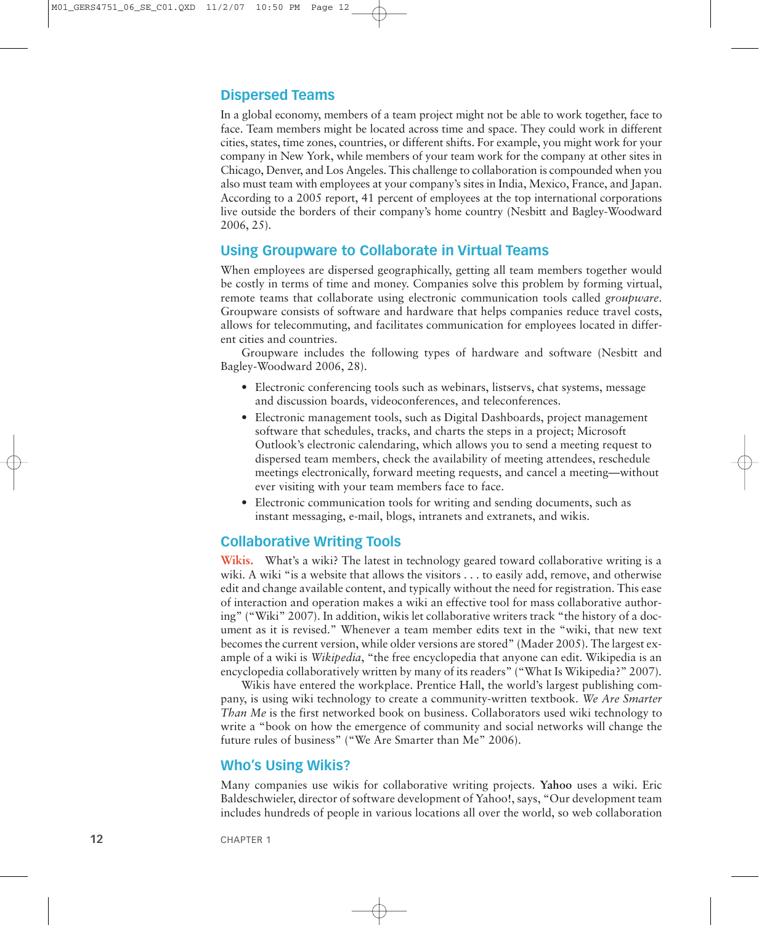#### **Dispersed Teams**

In a global economy, members of a team project might not be able to work together, face to face. Team members might be located across time and space. They could work in different cities, states, time zones, countries, or different shifts. For example, you might work for your company in New York, while members of your team work for the company at other sites in Chicago, Denver, and Los Angeles. This challenge to collaboration is compounded when you also must team with employees at your company's sites in India, Mexico, France, and Japan. According to a 2005 report, 41 percent of employees at the top international corporations live outside the borders of their company's home country (Nesbitt and Bagley-Woodward 2006, 25).

#### **Using Groupware to Collaborate in Virtual Teams**

When employees are dispersed geographically, getting all team members together would be costly in terms of time and money. Companies solve this problem by forming virtual, remote teams that collaborate using electronic communication tools called *groupware*. Groupware consists of software and hardware that helps companies reduce travel costs, allows for telecommuting, and facilitates communication for employees located in different cities and countries.

Groupware includes the following types of hardware and software (Nesbitt and Bagley-Woodward 2006, 28).

- Electronic conferencing tools such as webinars, listservs, chat systems, message and discussion boards, videoconferences, and teleconferences.
- Electronic management tools, such as Digital Dashboards, project management software that schedules, tracks, and charts the steps in a project; Microsoft Outlook's electronic calendaring, which allows you to send a meeting request to dispersed team members, check the availability of meeting attendees, reschedule meetings electronically, forward meeting requests, and cancel a meeting—without ever visiting with your team members face to face.
- Electronic communication tools for writing and sending documents, such as instant messaging, e-mail, blogs, intranets and extranets, and wikis.

#### **Collaborative Writing Tools**

**Wikis.** What's a wiki? The latest in technology geared toward collaborative writing is a wiki. A wiki "is a website that allows the visitors . . . to easily add, remove, and otherwise edit and change available content, and typically without the need for registration. This ease of interaction and operation makes a wiki an effective tool for mass collaborative authoring" ("Wiki" 2007). In addition, wikis let collaborative writers track "the history of a document as it is revised." Whenever a team member edits text in the "wiki, that new text becomes the current version, while older versions are stored" (Mader 2005). The largest example of a wiki is *Wikipedia*, "the free encyclopedia that anyone can edit. Wikipedia is an encyclopedia collaboratively written by many of its readers" ("What Is Wikipedia?" 2007).

Wikis have entered the workplace. Prentice Hall, the world's largest publishing company, is using wiki technology to create a community-written textbook. *We Are Smarter Than Me* is the first networked book on business. Collaborators used wiki technology to write a "book on how the emergence of community and social networks will change the future rules of business" ("We Are Smarter than Me" 2006).

#### **Who's Using Wikis?**

Many companies use wikis for collaborative writing projects. **Yahoo** uses a wiki. Eric Baldeschwieler, director of software development of Yahoo!, says, "Our development team includes hundreds of people in various locations all over the world, so web collaboration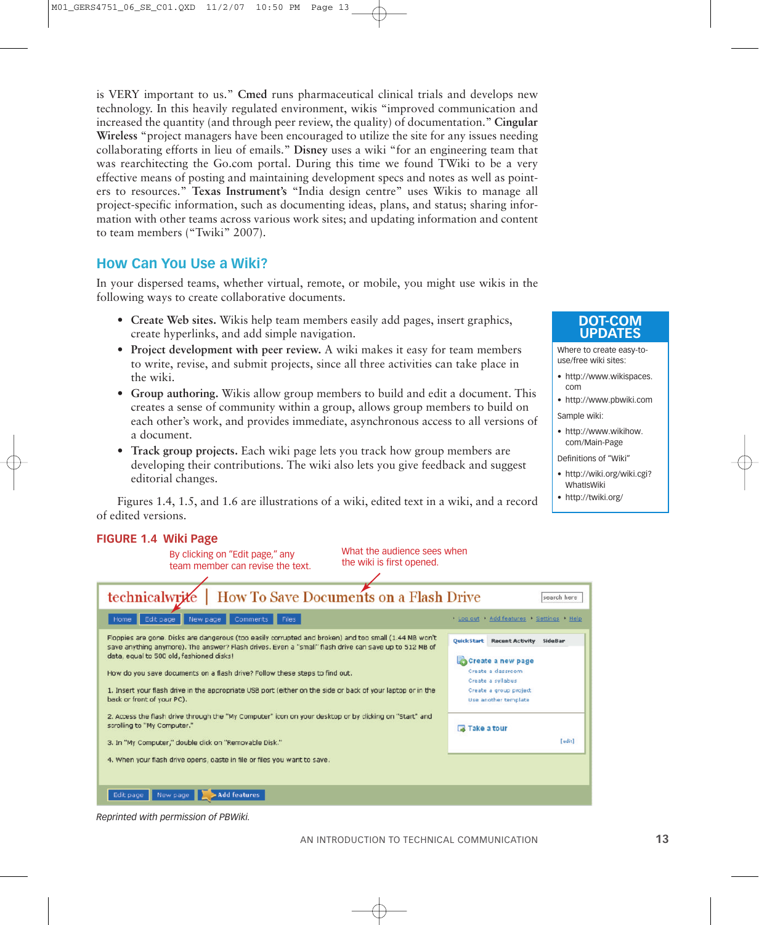is VERY important to us." **Cmed** runs pharmaceutical clinical trials and develops new technology. In this heavily regulated environment, wikis "improved communication and increased the quantity (and through peer review, the quality) of documentation." **Cingular Wireless** "project managers have been encouraged to utilize the site for any issues needing collaborating efforts in lieu of emails." **Disney** uses a wiki "for an engineering team that was rearchitecting the Go.com portal. During this time we found TWiki to be a very effective means of posting and maintaining development specs and notes as well as pointers to resources." **Texas Instrument's** "India design centre" uses Wikis to manage all project-specific information, such as documenting ideas, plans, and status; sharing information with other teams across various work sites; and updating information and content to team members ("Twiki" 2007).

#### **How Can You Use a Wiki?**

In your dispersed teams, whether virtual, remote, or mobile, you might use wikis in the following ways to create collaborative documents.

- **Create Web sites.** Wikis help team members easily add pages, insert graphics, create hyperlinks, and add simple navigation.
- **Project development with peer review.** A wiki makes it easy for team members to write, revise, and submit projects, since all three activities can take place in the wiki.
- **Group authoring.** Wikis allow group members to build and edit a document. This creates a sense of community within a group, allows group members to build on each other's work, and provides immediate, asynchronous access to all versions of a document.
- **Track group projects.** Each wiki page lets you track how group members are developing their contributions. The wiki also lets you give feedback and suggest editorial changes.

Figures 1.4, 1.5, and 1.6 are illustrations of a wiki, edited text in a wiki, and a record of edited versions.

#### **FIGURE 1.4 Wiki Page**

| What the audience sees when<br>By clicking on "Edit page," any<br>the wiki is first opened.<br>team member can revise the text.                                                                                                                                                                                                                                                                                                                                                                                                                                                                                                 |                                                                                                                                                                                      |
|---------------------------------------------------------------------------------------------------------------------------------------------------------------------------------------------------------------------------------------------------------------------------------------------------------------------------------------------------------------------------------------------------------------------------------------------------------------------------------------------------------------------------------------------------------------------------------------------------------------------------------|--------------------------------------------------------------------------------------------------------------------------------------------------------------------------------------|
| How To Save Documents on a Flash Drive<br>technicalwrike                                                                                                                                                                                                                                                                                                                                                                                                                                                                                                                                                                        | search here                                                                                                                                                                          |
| Edit page<br>New page<br><b>Comments</b><br>Files<br>Home                                                                                                                                                                                                                                                                                                                                                                                                                                                                                                                                                                       | Log out > Add features > Settings + Help                                                                                                                                             |
| Floppies are gone. Disks are dangerous (too easily corrupted and broken) and too small (1.44 MB won't<br>save anything anymore). The answer? Flash drives. Even a "small" flash drive can save up to 512 MB of<br>data, equal to 500 old, fashioned disks!<br>How do you save documents on a flash drive? Follow these steps to find out.<br>1. Insert your flash drive in the appropriate USB port (either on the side or back of your laptop or in the<br>back or front of your PC).<br>2. Access the flash drive through the "My Computer" icon on your desktop or by clicking on "Start" and<br>scrolling to "My Computer." | <b>Quick Start Recent Activity</b><br>SideBar<br>Create a new page<br>Create a dassroom<br>Create a syllabus<br>Create a group project<br>Use another template<br><b>Take a tour</b> |
| 3. In "My Computer," double click on "Removable Disk."                                                                                                                                                                                                                                                                                                                                                                                                                                                                                                                                                                          | [edit]                                                                                                                                                                               |
| 4. When your flash drive opens, oaste in file or files you want to save.                                                                                                                                                                                                                                                                                                                                                                                                                                                                                                                                                        |                                                                                                                                                                                      |
| New page<br><b>Add features</b><br>Edit page                                                                                                                                                                                                                                                                                                                                                                                                                                                                                                                                                                                    |                                                                                                                                                                                      |

*Reprinted with permission of PBWiki.*

#### **DOT-COM UPDATES**

Where to create easy-touse/free wiki sites:

- http://www.wikispaces. com
- http://www.pbwiki.com Sample wiki:

- http://www.wikihow. com/Main-Page
- Definitions of "Wiki"
- http://wiki.org/wiki.cgi? WhatIsWiki
- http://twiki.org/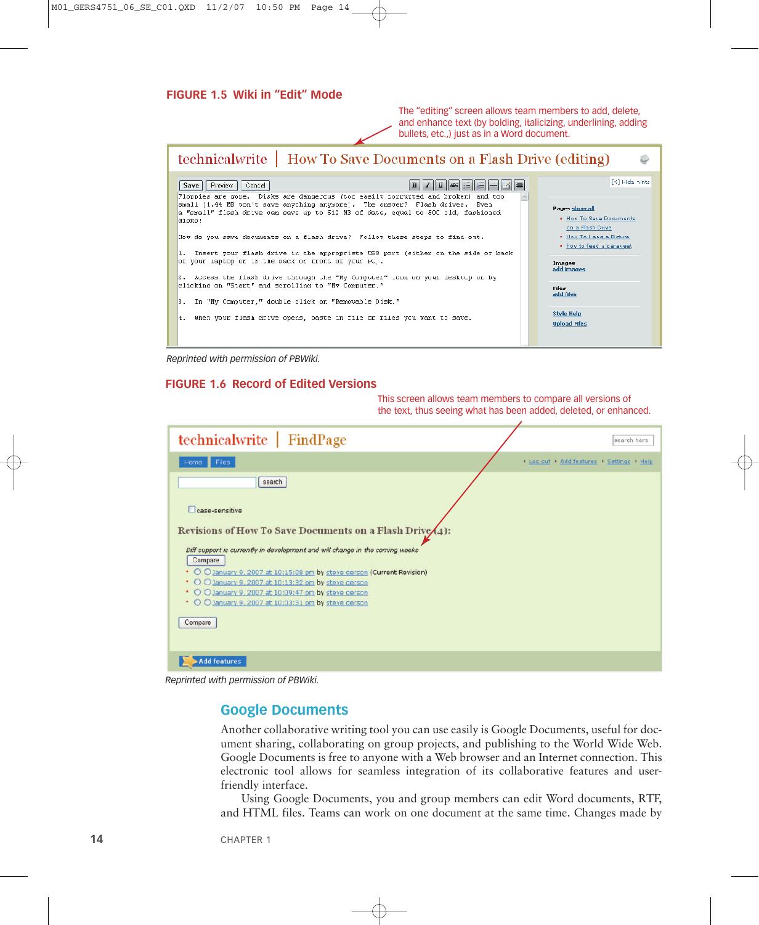#### **FIGURE 1.5 Wiki in "Edit" Mode**

The "editing" screen allows team members to add, delete, and enhance text (by bolding, italicizing, underlining, adding bullets, etc.,) just as in a Word document.



*Reprinted with permission of PBWiki.*

#### **FIGURE 1.6 Record of Edited Versions**

This screen allows team members to compare all versions of the text, thus seeing what has been added, deleted, or enhanced.

| technicalwrite FindPage                                                                                    | search here                            |
|------------------------------------------------------------------------------------------------------------|----------------------------------------|
| Files<br>Home                                                                                              | Log out Add features / Settings / Help |
| search                                                                                                     |                                        |
| $\Box$ case-sensitive                                                                                      |                                        |
| Revisions of How To Save Documents on a Flash Drive (4):                                                   |                                        |
| Diff support is currently in development and will change in the coming weeks<br>Compare                    |                                        |
| • O O January 9, 2007 at 10:15:08 pm by steve derson (Current Revision)                                    |                                        |
| O O January 9, 2007 at 10:13:32 pm by steve gerson<br>• O O January 9, 2007 at 10:09:47 pm by steve gerson |                                        |
| • O O January 9, 2007 at 10:03:31 pm by steve gerson                                                       |                                        |
| Compare                                                                                                    |                                        |
|                                                                                                            |                                        |
| dd features                                                                                                |                                        |

*Reprinted with permission of PBWiki.*

#### **Google Documents**

Another collaborative writing tool you can use easily is Google Documents, useful for document sharing, collaborating on group projects, and publishing to the World Wide Web. Google Documents is free to anyone with a Web browser and an Internet connection. This electronic tool allows for seamless integration of its collaborative features and userfriendly interface.

Using Google Documents, you and group members can edit Word documents, RTF, and HTML files. Teams can work on one document at the same time. Changes made by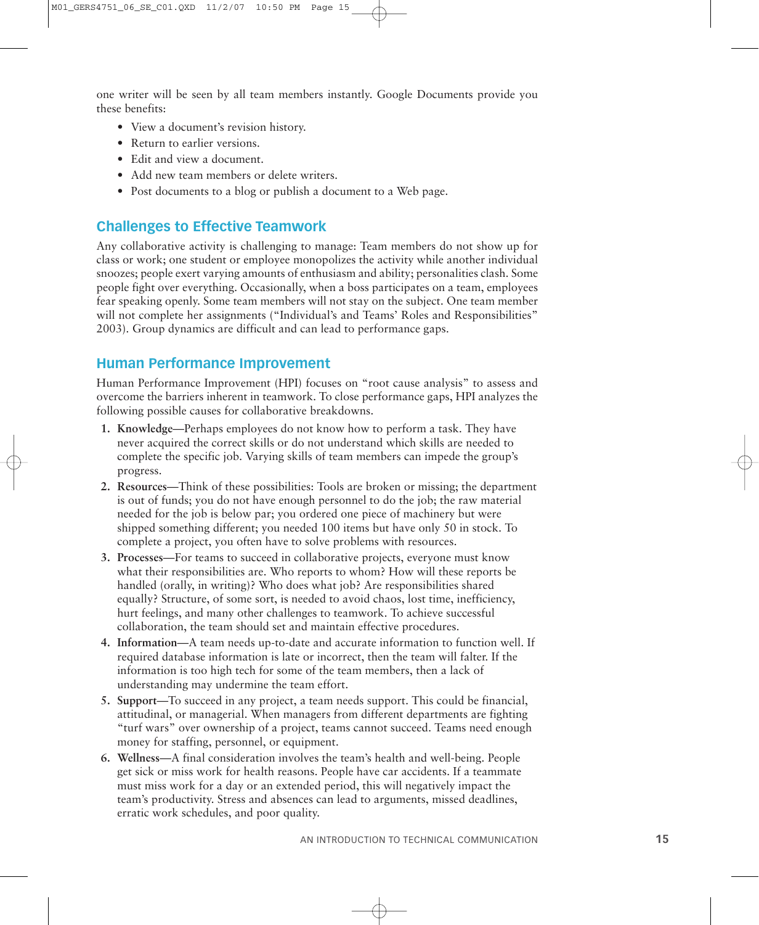one writer will be seen by all team members instantly. Google Documents provide you these benefits:

- View a document's revision history.
- Return to earlier versions.
- Edit and view a document.
- Add new team members or delete writers.
- Post documents to a blog or publish a document to a Web page.

#### **Challenges to Effective Teamwork**

Any collaborative activity is challenging to manage: Team members do not show up for class or work; one student or employee monopolizes the activity while another individual snoozes; people exert varying amounts of enthusiasm and ability; personalities clash. Some people fight over everything. Occasionally, when a boss participates on a team, employees fear speaking openly. Some team members will not stay on the subject. One team member will not complete her assignments ("Individual's and Teams' Roles and Responsibilities" 2003). Group dynamics are difficult and can lead to performance gaps.

#### **Human Performance Improvement**

Human Performance Improvement (HPI) focuses on "root cause analysis" to assess and overcome the barriers inherent in teamwork. To close performance gaps, HPI analyzes the following possible causes for collaborative breakdowns.

- **1. Knowledge**—Perhaps employees do not know how to perform a task. They have never acquired the correct skills or do not understand which skills are needed to complete the specific job. Varying skills of team members can impede the group's progress.
- **2. Resources**—Think of these possibilities: Tools are broken or missing; the department is out of funds; you do not have enough personnel to do the job; the raw material needed for the job is below par; you ordered one piece of machinery but were shipped something different; you needed 100 items but have only 50 in stock. To complete a project, you often have to solve problems with resources.
- **3. Processes**—For teams to succeed in collaborative projects, everyone must know what their responsibilities are. Who reports to whom? How will these reports be handled (orally, in writing)? Who does what job? Are responsibilities shared equally? Structure, of some sort, is needed to avoid chaos, lost time, inefficiency, hurt feelings, and many other challenges to teamwork. To achieve successful collaboration, the team should set and maintain effective procedures.
- **4. Information**—A team needs up-to-date and accurate information to function well. If required database information is late or incorrect, then the team will falter. If the information is too high tech for some of the team members, then a lack of understanding may undermine the team effort.
- **5. Support**—To succeed in any project, a team needs support. This could be financial, attitudinal, or managerial. When managers from different departments are fighting "turf wars" over ownership of a project, teams cannot succeed. Teams need enough money for staffing, personnel, or equipment.
- **6. Wellness**—A final consideration involves the team's health and well-being. People get sick or miss work for health reasons. People have car accidents. If a teammate must miss work for a day or an extended period, this will negatively impact the team's productivity. Stress and absences can lead to arguments, missed deadlines, erratic work schedules, and poor quality.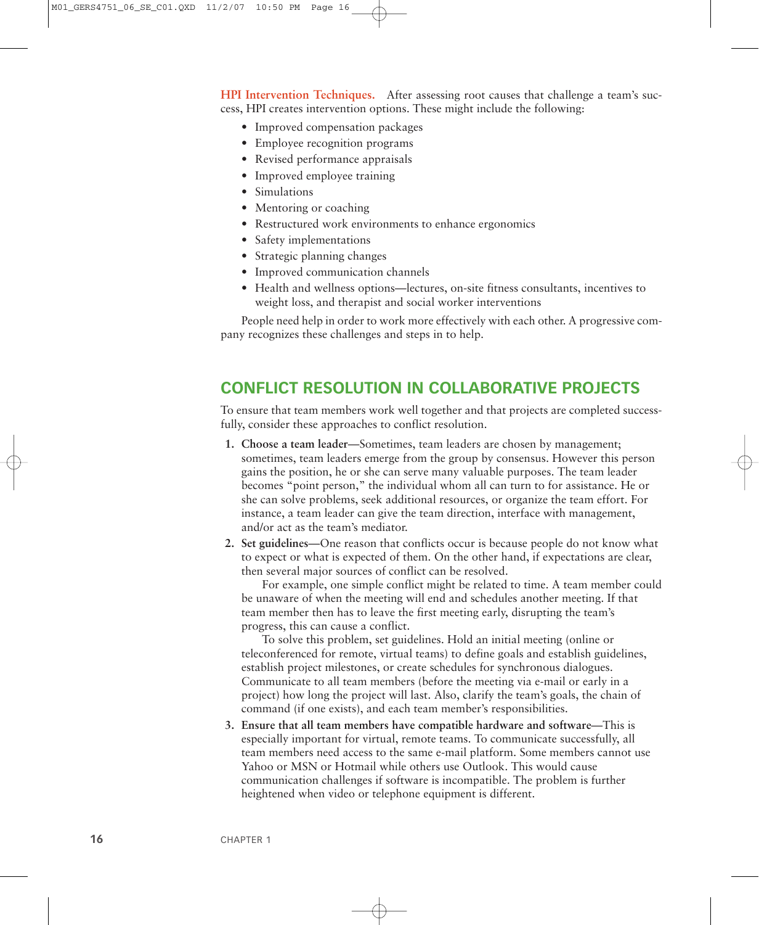**HPI Intervention Techniques.** After assessing root causes that challenge a team's success, HPI creates intervention options. These might include the following:

- Improved compensation packages
- Employee recognition programs
- Revised performance appraisals
- Improved employee training
- Simulations
- Mentoring or coaching
- Restructured work environments to enhance ergonomics
- Safety implementations
- Strategic planning changes
- Improved communication channels
- Health and wellness options—lectures, on-site fitness consultants, incentives to weight loss, and therapist and social worker interventions

People need help in order to work more effectively with each other. A progressive company recognizes these challenges and steps in to help.

### **CONFLICT RESOLUTION IN COLLABORATIVE PROJECTS**

To ensure that team members work well together and that projects are completed successfully, consider these approaches to conflict resolution.

- **1. Choose a team leader**—Sometimes, team leaders are chosen by management; sometimes, team leaders emerge from the group by consensus. However this person gains the position, he or she can serve many valuable purposes. The team leader becomes "point person," the individual whom all can turn to for assistance. He or she can solve problems, seek additional resources, or organize the team effort. For instance, a team leader can give the team direction, interface with management, and/or act as the team's mediator.
- **2. Set guidelines**—One reason that conflicts occur is because people do not know what to expect or what is expected of them. On the other hand, if expectations are clear, then several major sources of conflict can be resolved.

For example, one simple conflict might be related to time. A team member could be unaware of when the meeting will end and schedules another meeting. If that team member then has to leave the first meeting early, disrupting the team's progress, this can cause a conflict.

To solve this problem, set guidelines. Hold an initial meeting (online or teleconferenced for remote, virtual teams) to define goals and establish guidelines, establish project milestones, or create schedules for synchronous dialogues. Communicate to all team members (before the meeting via e-mail or early in a project) how long the project will last. Also, clarify the team's goals, the chain of command (if one exists), and each team member's responsibilities.

**3. Ensure that all team members have compatible hardware and software**—This is especially important for virtual, remote teams. To communicate successfully, all team members need access to the same e-mail platform. Some members cannot use Yahoo or MSN or Hotmail while others use Outlook. This would cause communication challenges if software is incompatible. The problem is further heightened when video or telephone equipment is different.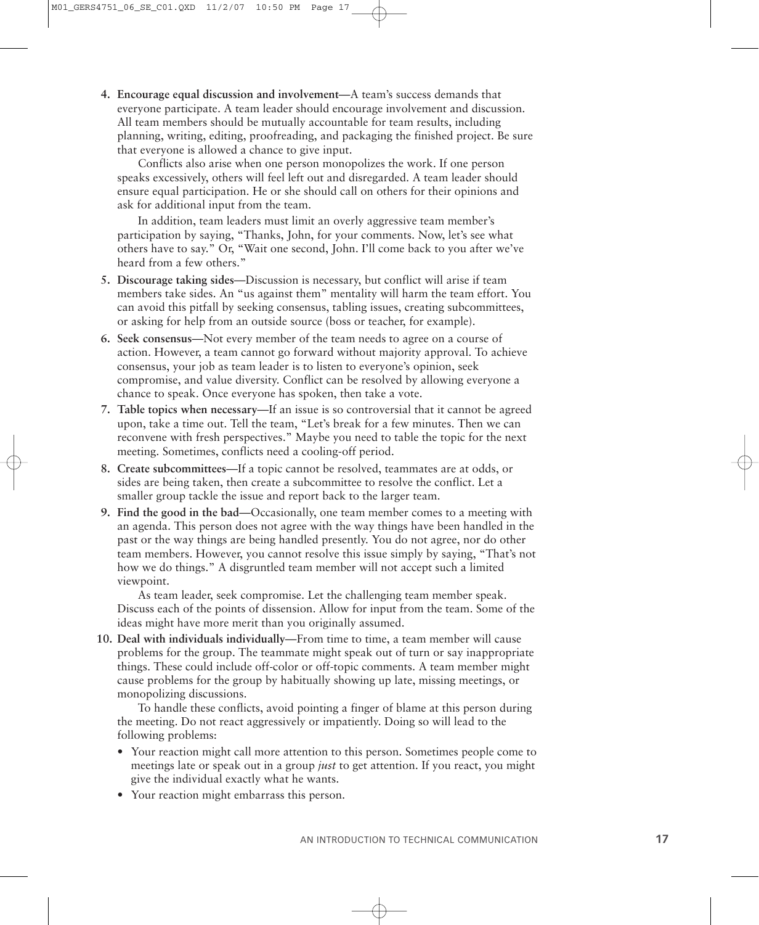**4. Encourage equal discussion and involvement**—A team's success demands that everyone participate. A team leader should encourage involvement and discussion. All team members should be mutually accountable for team results, including planning, writing, editing, proofreading, and packaging the finished project. Be sure that everyone is allowed a chance to give input.

Conflicts also arise when one person monopolizes the work. If one person speaks excessively, others will feel left out and disregarded. A team leader should ensure equal participation. He or she should call on others for their opinions and ask for additional input from the team.

In addition, team leaders must limit an overly aggressive team member's participation by saying, "Thanks, John, for your comments. Now, let's see what others have to say." Or, "Wait one second, John. I'll come back to you after we've heard from a few others."

- **5. Discourage taking sides**—Discussion is necessary, but conflict will arise if team members take sides. An "us against them" mentality will harm the team effort. You can avoid this pitfall by seeking consensus, tabling issues, creating subcommittees, or asking for help from an outside source (boss or teacher, for example).
- **6. Seek consensus**—Not every member of the team needs to agree on a course of action. However, a team cannot go forward without majority approval. To achieve consensus, your job as team leader is to listen to everyone's opinion, seek compromise, and value diversity. Conflict can be resolved by allowing everyone a chance to speak. Once everyone has spoken, then take a vote.
- **7. Table topics when necessary**—If an issue is so controversial that it cannot be agreed upon, take a time out. Tell the team, "Let's break for a few minutes. Then we can reconvene with fresh perspectives." Maybe you need to table the topic for the next meeting. Sometimes, conflicts need a cooling-off period.
- **8. Create subcommittees**—If a topic cannot be resolved, teammates are at odds, or sides are being taken, then create a subcommittee to resolve the conflict. Let a smaller group tackle the issue and report back to the larger team.
- **9. Find the good in the bad**—Occasionally, one team member comes to a meeting with an agenda. This person does not agree with the way things have been handled in the past or the way things are being handled presently. You do not agree, nor do other team members. However, you cannot resolve this issue simply by saying, "That's not how we do things." A disgruntled team member will not accept such a limited viewpoint.

As team leader, seek compromise. Let the challenging team member speak. Discuss each of the points of dissension. Allow for input from the team. Some of the ideas might have more merit than you originally assumed.

**10. Deal with individuals individually**—From time to time, a team member will cause problems for the group. The teammate might speak out of turn or say inappropriate things. These could include off-color or off-topic comments. A team member might cause problems for the group by habitually showing up late, missing meetings, or monopolizing discussions.

To handle these conflicts, avoid pointing a finger of blame at this person during the meeting. Do not react aggressively or impatiently. Doing so will lead to the following problems:

- Your reaction might call more attention to this person. Sometimes people come to meetings late or speak out in a group *just* to get attention. If you react, you might give the individual exactly what he wants.
- Your reaction might embarrass this person.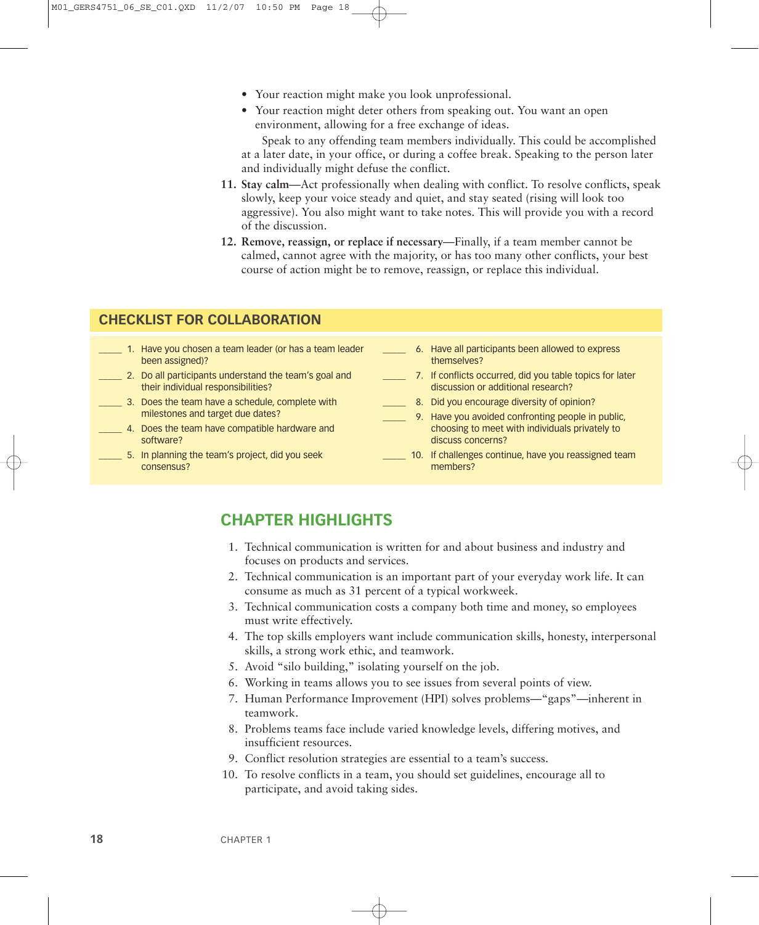- Your reaction might make you look unprofessional.
- Your reaction might deter others from speaking out. You want an open environment, allowing for a free exchange of ideas.

Speak to any offending team members individually. This could be accomplished at a later date, in your office, or during a coffee break. Speaking to the person later and individually might defuse the conflict.

- **11. Stay calm**—Act professionally when dealing with conflict. To resolve conflicts, speak slowly, keep your voice steady and quiet, and stay seated (rising will look too aggressive). You also might want to take notes. This will provide you with a record of the discussion.
- **12. Remove, reassign, or replace if necessary**—Finally, if a team member cannot be calmed, cannot agree with the majority, or has too many other conflicts, your best course of action might be to remove, reassign, or replace this individual.

#### **CHECKLIST FOR COLLABORATION**

- 1. Have you chosen a team leader (or has a team leader been assigned)?
- 2. Do all participants understand the team's goal and their individual responsibilities?
- 3. Does the team have a schedule, complete with milestones and target due dates?
- 4. Does the team have compatible hardware and software?
	- 5. In planning the team's project, did you seek consensus?
- \_\_\_\_\_ 6. Have all participants been allowed to express themselves?
- 7. If conflicts occurred, did you table topics for later discussion or additional research?
- 8. Did you encourage diversity of opinion?
- 9. Have you avoided confronting people in public, choosing to meet with individuals privately to discuss concerns?
- 10. If challenges continue, have you reassigned team members?

# **CHAPTER HIGHLIGHTS**

- 1. Technical communication is written for and about business and industry and focuses on products and services.
- 2. Technical communication is an important part of your everyday work life. It can consume as much as 31 percent of a typical workweek.
- 3. Technical communication costs a company both time and money, so employees must write effectively.
- 4. The top skills employers want include communication skills, honesty, interpersonal skills, a strong work ethic, and teamwork.
- 5. Avoid "silo building," isolating yourself on the job.
- 6. Working in teams allows you to see issues from several points of view.
- 7. Human Performance Improvement (HPI) solves problems—"gaps"—inherent in teamwork.
- 8. Problems teams face include varied knowledge levels, differing motives, and insufficient resources.
- 9. Conflict resolution strategies are essential to a team's success.
- 10. To resolve conflicts in a team, you should set guidelines, encourage all to participate, and avoid taking sides.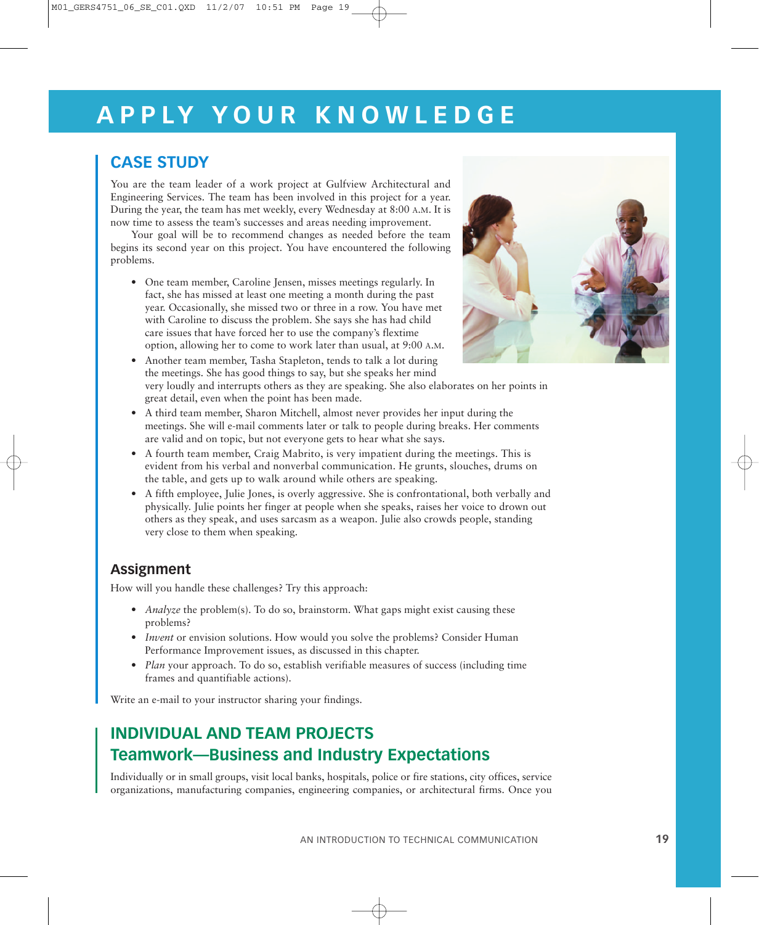# **APPLY YOUR KNOWLEDGE**

# **CASE STUDY**

You are the team leader of a work project at Gulfview Architectural and Engineering Services. The team has been involved in this project for a year. During the year, the team has met weekly, every Wednesday at 8:00 A.M. It is now time to assess the team's successes and areas needing improvement.

Your goal will be to recommend changes as needed before the team begins its second year on this project. You have encountered the following problems.

• One team member, Caroline Jensen, misses meetings regularly. In fact, she has missed at least one meeting a month during the past year. Occasionally, she missed two or three in a row. You have met with Caroline to discuss the problem. She says she has had child care issues that have forced her to use the company's flextime option, allowing her to come to work later than usual, at 9:00 A.M.



- Another team member, Tasha Stapleton, tends to talk a lot during the meetings. She has good things to say, but she speaks her mind very loudly and interrupts others as they are speaking. She also elaborates on her points in great detail, even when the point has been made.
- A third team member, Sharon Mitchell, almost never provides her input during the meetings. She will e-mail comments later or talk to people during breaks. Her comments are valid and on topic, but not everyone gets to hear what she says.
- A fourth team member, Craig Mabrito, is very impatient during the meetings. This is evident from his verbal and nonverbal communication. He grunts, slouches, drums on the table, and gets up to walk around while others are speaking.
- A fifth employee, Julie Jones, is overly aggressive. She is confrontational, both verbally and physically. Julie points her finger at people when she speaks, raises her voice to drown out others as they speak, and uses sarcasm as a weapon. Julie also crowds people, standing very close to them when speaking.

#### **Assignment**

How will you handle these challenges? Try this approach:

- *Analyze* the problem(s). To do so, brainstorm. What gaps might exist causing these problems?
- *Invent* or envision solutions. How would you solve the problems? Consider Human Performance Improvement issues, as discussed in this chapter.
- *Plan* your approach. To do so, establish verifiable measures of success (including time frames and quantifiable actions).

Write an e-mail to your instructor sharing your findings.

# **INDIVIDUAL AND TEAM PROJECTS Teamwork—Business and Industry Expectations**

Individually or in small groups, visit local banks, hospitals, police or fire stations, city offices, service organizations, manufacturing companies, engineering companies, or architectural firms. Once you

AN INTRODUCTION TO TECHNICAL COMMUNICATION **19**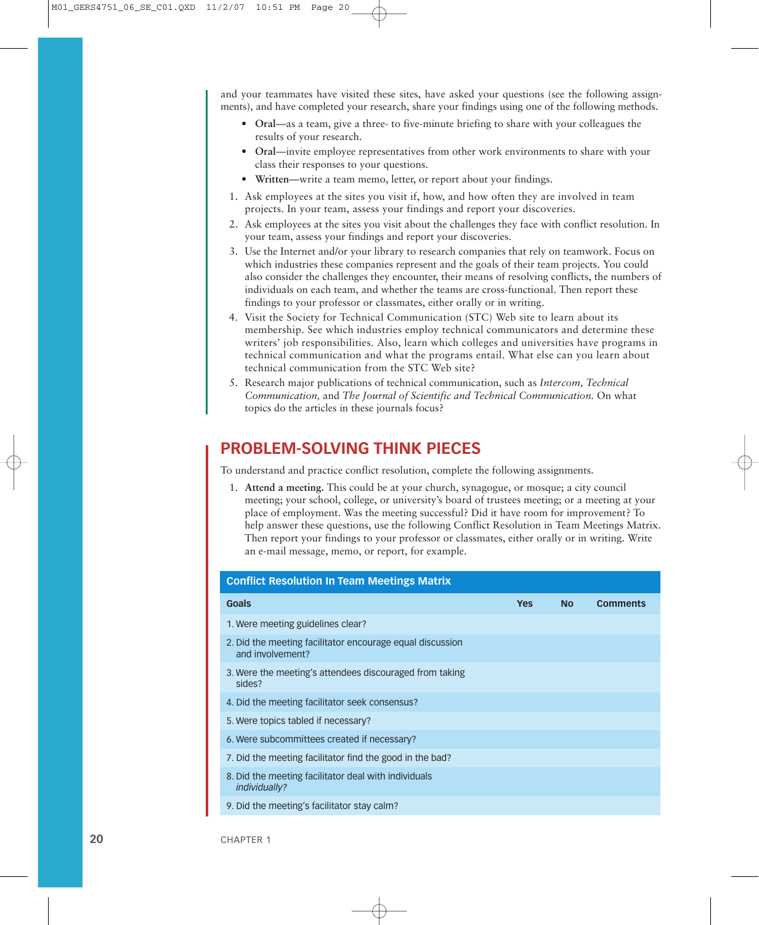and your teammates have visited these sites, have asked your questions (see the following assignments), and have completed your research, share your findings using one of the following methods.

- **Oral**—as a team, give a three- to five-minute briefing to share with your colleagues the results of your research.
- **Oral**—invite employee representatives from other work environments to share with your class their responses to your questions.
- Written—write a team memo, letter, or report about your findings.
- 1. Ask employees at the sites you visit if, how, and how often they are involved in team projects. In your team, assess your findings and report your discoveries.
- 2. Ask employees at the sites you visit about the challenges they face with conflict resolution. In your team, assess your findings and report your discoveries.
- 3. Use the Internet and/or your library to research companies that rely on teamwork. Focus on which industries these companies represent and the goals of their team projects. You could also consider the challenges they encounter, their means of resolving conflicts, the numbers of individuals on each team, and whether the teams are cross-functional. Then report these findings to your professor or classmates, either orally or in writing.
- 4. Visit the Society for Technical Communication (STC) Web site to learn about its membership. See which industries employ technical communicators and determine these writers' job responsibilities. Also, learn which colleges and universities have programs in technical communication and what the programs entail. What else can you learn about technical communication from the STC Web site?
- 5. Research major publications of technical communication, such as *Intercom, Technical Communication,* and *The Journal of Scientific and Technical Communication.* On what topics do the articles in these journals focus?

# **PROBLEM-SOLVING THINK PIECES**

To understand and practice conflict resolution, complete the following assignments.

1. **Attend a meeting.** This could be at your church, synagogue, or mosque; a city council meeting; your school, college, or university's board of trustees meeting; or a meeting at your place of employment. Was the meeting successful? Did it have room for improvement? To help answer these questions, use the following Conflict Resolution in Team Meetings Matrix. Then report your findings to your professor or classmates, either orally or in writing. Write an e-mail message, memo, or report, for example.

| <b>Conflict Resolution In Team Meetings Matrix</b>                            |            |           |                 |
|-------------------------------------------------------------------------------|------------|-----------|-----------------|
| Goals                                                                         | <b>Yes</b> | <b>No</b> | <b>Comments</b> |
| 1. Were meeting guidelines clear?                                             |            |           |                 |
| 2. Did the meeting facilitator encourage equal discussion<br>and involvement? |            |           |                 |
| 3. Were the meeting's attendees discouraged from taking<br>sides?             |            |           |                 |
| 4. Did the meeting facilitator seek consensus?                                |            |           |                 |
| 5. Were topics tabled if necessary?                                           |            |           |                 |
| 6. Were subcommittees created if necessary?                                   |            |           |                 |
| 7. Did the meeting facilitator find the good in the bad?                      |            |           |                 |
| 8. Did the meeting facilitator deal with individuals<br><i>individually?</i>  |            |           |                 |
| 9. Did the meeting's facilitator stay calm?                                   |            |           |                 |